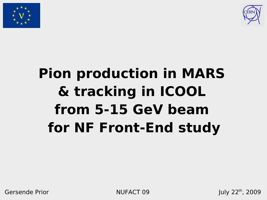



# **Pion production in MARS & tracking in ICOOL from 5-15 GeV beam for NF Front-End study**

Gersende Prior NUFACT 09

July  $22^{th}$ , 2009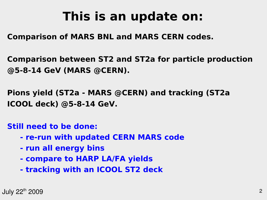## **This is an update on:**

#### **Comparison of MARS BNL and MARS CERN codes.**

**Comparison between ST2 and ST2a for particle production @5-8-14 GeV (MARS @CERN).**

**Pions yield (ST2a - MARS @CERN) and tracking (ST2a ICOOL deck) @5-8-14 GeV.**

#### **Still need to be done:**

- **re-run with updated CERN MARS code**
- **run all energy bins**
- **compare to HARP LA/FA yields**
- **tracking with an ICOOL ST2 deck**

July 22 2 th 2009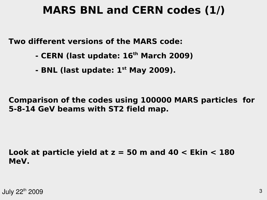#### **MARS BNL and CERN codes (1/)**

**Two different versions of the MARS code:**

- **CERN (last update: 16th March 2009)**
- **BNL (last update: 1st May 2009).**

**Comparison of the codes using 100000 MARS particles for 5-8-14 GeV beams with ST2 field map.**

**Look at particle yield at z = 50 m and 40 < Ekin < 180 MeV.**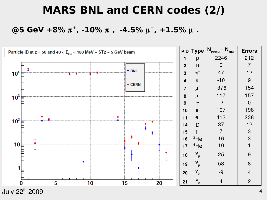#### **MARS BNL and CERN codes (2/)**

@5 GeV +8%  $\pi^+$ , -10%  $\pi^-$ , -4.5%  $\mu^+$ , +1.5%  $\mu^-$ .



July 22 $^{\rm th}$  2009  $^{\rm 4}$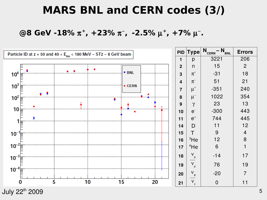#### **MARS BNL and CERN codes (3/)**

#### **@8 GeV -18%**  $\pi^+$ **, +23%**  $\pi^-$ **, -2.5% μ<sup>+</sup>, +7% μ<sup>-</sup>.**

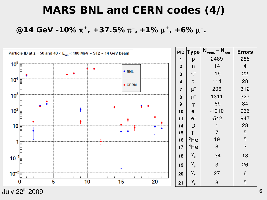### **MARS BNL and CERN codes (4/)**

#### @14 GeV -10%  $\pi^+$ , +37.5%  $\pi^-$ , +1%  $\mu^+$ , +6%  $\mu^-$ .



July 22 $^{\rm th}$  2009  $^{\rm 6}$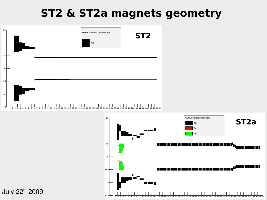## **ST2 & ST2a magnets geometry**

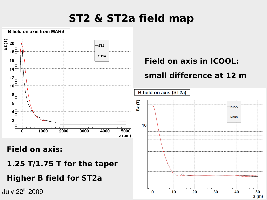## **ST2 & ST2a field map**

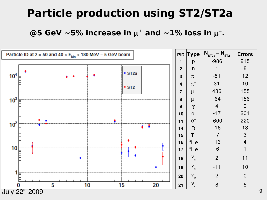#### **Particle production using ST2/ST2a**

@5 GeV  $\sim$ 5% increase in  $\mu^+$  and  $\sim$ 1% loss in  $\mu^-$ .

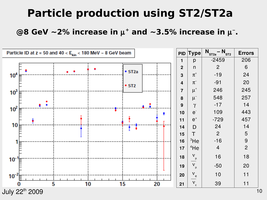### **Particle production using ST2/ST2a**

@8 GeV  $\sim$  2% increase in  $\mu^+$  and  $\sim$  3.5% increase in  $\mu^-$ .

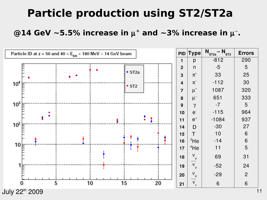### **Particle production using ST2/ST2a**

@14 GeV ~5.5% increase in  $\mu^+$  and ~3% increase in  $\mu^-$ .

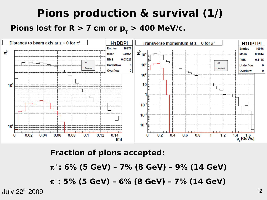## **Pions production & survival (1/)** Pions lost for R  $> 7$  cm or p<sub>r</sub>  $> 400$  MeV/c.



#### **Fraction of pions accepted:**

**+ : 6% (5 GeV) – 7% (8 GeV) – 9% (14 GeV)**

**: 5% (5 GeV) – 6% (8 GeV) – 7% (14 GeV)**

 $July 22<sup>th</sup> 2009$  12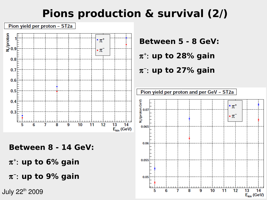## **Pions production & survival (2/)**



**Between 8 - 14 GeV:**

**up to 6% gain**

**up to 9% gain**

**Between 5 - 8 GeV:**

**up to 28% gain**

**up to 27% gain**

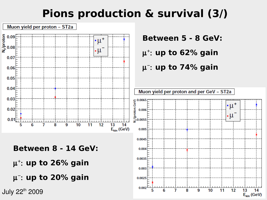## **Pions production & survival (3/)**

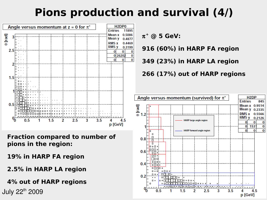## **Pions production and survival (4/)**



**Fraction compared to number of pions in the region:**

**19% in HARP FA region**

**2.5% in HARP LA region**

**4% out of HARP regions**

**+ @ 5 GeV:**

**916 (60%) in HARP FA region**

**349 (23%) in HARP LA region**

**266 (17%) out of HARP regions**

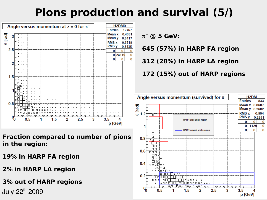## **Pions production and survival (5/)**



**Fraction compared to number of pions in the region:**

**19% in HARP FA region**

**2% in HARP LA region**

**3% out of HARP regions**

 **@ 5 GeV:**

**645 (57%) in HARP FA region**

**312 (28%) in HARP LA region**



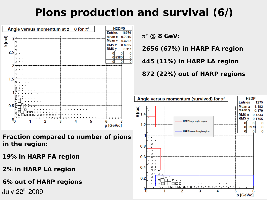## **Pions production and survival (6/)**



**Fraction compared to number of pions in the region:**

**19% in HARP FA region**

**2% in HARP LA region**

**6% out of HARP regions**

 **@ 8 GeV:**

**2656 (67%) in HARP FA region**

**445 (11%) in HARP LA region**

**872 (22%) out of HARP regions**

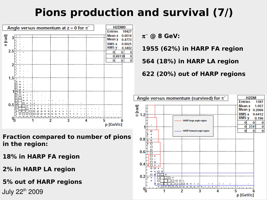## **Pions production and survival (7/)**



**Fraction compared to number of pions in the region:**

**18% in HARP FA region**

**2% in HARP LA region**

**5% out of HARP regions**

 **@ 8 GeV:**

**1955 (62%) in HARP FA region**

**564 (18%) in HARP LA region**

**622 (20%) out of HARP regions**

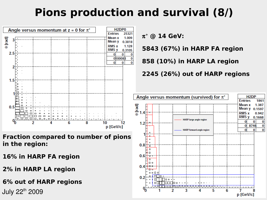## **Pions production and survival (8/)**



**Fraction compared to number of pions in the region:**

**16% in HARP FA region**

**2% in HARP LA region**

**6% out of HARP regions**

**5843 (67%) in HARP FA region**

**858 (10%) in HARP LA region**

**2245 (26%) out of HARP regions**

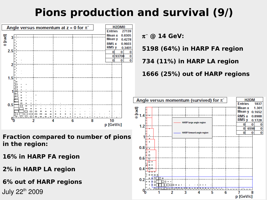## **Pions production and survival (9/)**



**Fraction compared to number of pions in the region:**

**16% in HARP FA region**

**2% in HARP LA region**

**6% out of HARP regions**

 $\pi^-$  @ 14 GeV:

**5198 (64%) in HARP FA region**

**734 (11%) in HARP LA region**

**1666 (25%) out of HARP regions**

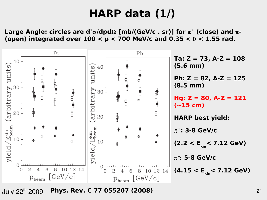### **HARP data (1/)**

Large Angle: circles are  $d^2\sigma/dp d\Omega$  [mb/(GeV/c . sr)] for  $\pi^+$  (close) and  $\pi$ -(open) integrated over  $100 < p < 700$  MeV/c and  $0.35 < \theta < 1.55$  rad.



July 22 21 th 2009 **Phys. Rev. C 77 055207 (2008)**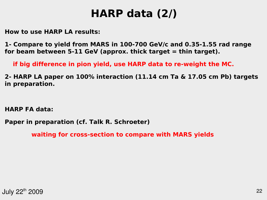### **HARP data (2/)**

**How to use HARP LA results:**

**1- Compare to yield from MARS in 100-700 GeV/c and 0.35-1.55 rad range for beam between 5-11 GeV (approx. thick target = thin target).**

 **if big difference in pion yield, use HARP data to re-weight the MC.**

**2- HARP LA paper on 100% interaction (11.14 cm Ta & 17.05 cm Pb) targets in preparation.**

**HARP FA data:**

**Paper in preparation (cf. Talk R. Schroeter)**

**waiting for cross-section to compare with MARS yields**